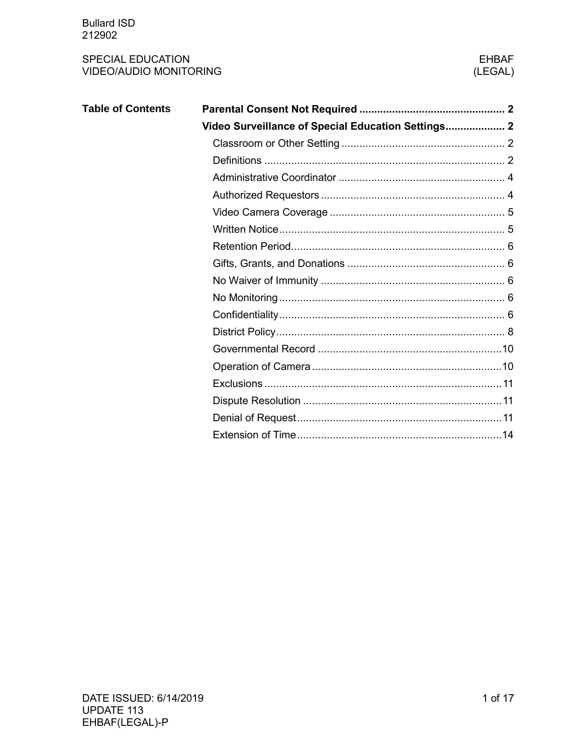| <b>Table of Contents</b> |                                                    |
|--------------------------|----------------------------------------------------|
|                          | Video Surveillance of Special Education Settings 2 |
|                          |                                                    |
|                          |                                                    |
|                          |                                                    |
|                          |                                                    |
|                          |                                                    |
|                          |                                                    |
|                          |                                                    |
|                          |                                                    |
|                          |                                                    |
|                          |                                                    |
|                          |                                                    |
|                          |                                                    |
|                          |                                                    |
|                          |                                                    |
|                          |                                                    |
|                          |                                                    |
|                          |                                                    |
|                          |                                                    |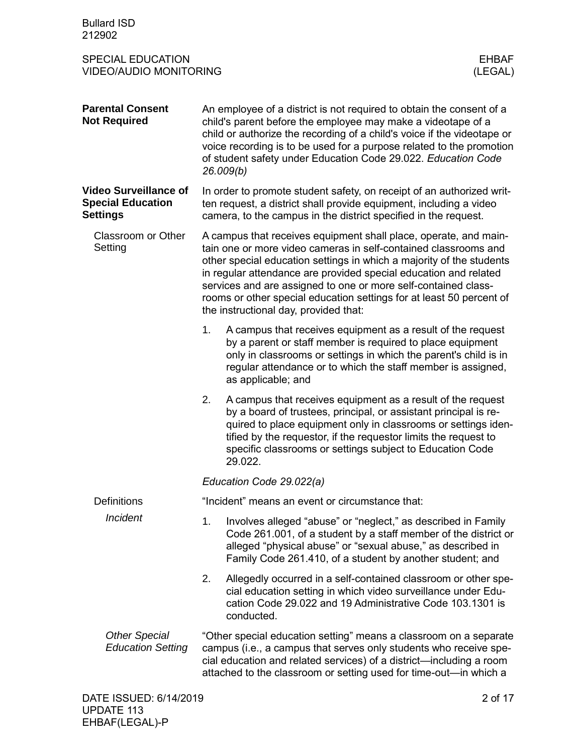<span id="page-1-3"></span><span id="page-1-2"></span><span id="page-1-1"></span><span id="page-1-0"></span>

| <b>Bullard ISD</b><br>212902                                                         |    |                                                                                                                                                                                                                                                                                                                                                                                                                                                                    |
|--------------------------------------------------------------------------------------|----|--------------------------------------------------------------------------------------------------------------------------------------------------------------------------------------------------------------------------------------------------------------------------------------------------------------------------------------------------------------------------------------------------------------------------------------------------------------------|
| <b>SPECIAL EDUCATION</b><br><b>EHBAF</b><br><b>VIDEO/AUDIO MONITORING</b><br>(LEGAL) |    |                                                                                                                                                                                                                                                                                                                                                                                                                                                                    |
| <b>Parental Consent</b><br><b>Not Required</b>                                       |    | An employee of a district is not required to obtain the consent of a<br>child's parent before the employee may make a videotape of a<br>child or authorize the recording of a child's voice if the videotape or<br>voice recording is to be used for a purpose related to the promotion<br>of student safety under Education Code 29.022. Education Code<br>26.009(b)                                                                                              |
| <b>Video Surveillance of</b><br><b>Special Education</b><br><b>Settings</b>          |    | In order to promote student safety, on receipt of an authorized writ-<br>ten request, a district shall provide equipment, including a video<br>camera, to the campus in the district specified in the request.                                                                                                                                                                                                                                                     |
| Classroom or Other<br>Setting                                                        |    | A campus that receives equipment shall place, operate, and main-<br>tain one or more video cameras in self-contained classrooms and<br>other special education settings in which a majority of the students<br>in regular attendance are provided special education and related<br>services and are assigned to one or more self-contained class-<br>rooms or other special education settings for at least 50 percent of<br>the instructional day, provided that: |
|                                                                                      | 1. | A campus that receives equipment as a result of the request<br>by a parent or staff member is required to place equipment<br>only in classrooms or settings in which the parent's child is in<br>regular attendance or to which the staff member is assigned,<br>as applicable; and                                                                                                                                                                                |
|                                                                                      | 2. | A campus that receives equipment as a result of the request<br>by a board of trustees, principal, or assistant principal is re-<br>quired to place equipment only in classrooms or settings iden-<br>tified by the requestor, if the requestor limits the request to<br>specific classrooms or settings subject to Education Code<br>29.022.                                                                                                                       |
|                                                                                      |    | Education Code 29.022(a)                                                                                                                                                                                                                                                                                                                                                                                                                                           |
| <b>Definitions</b>                                                                   |    | "Incident" means an event or circumstance that:                                                                                                                                                                                                                                                                                                                                                                                                                    |
| <b>Incident</b>                                                                      | 1. | Involves alleged "abuse" or "neglect," as described in Family<br>Code 261.001, of a student by a staff member of the district or<br>alleged "physical abuse" or "sexual abuse," as described in<br>Family Code 261.410, of a student by another student; and                                                                                                                                                                                                       |
|                                                                                      | 2. | Allegedly occurred in a self-contained classroom or other spe-<br>cial education setting in which video surveillance under Edu-<br>cation Code 29.022 and 19 Administrative Code 103.1301 is<br>conducted.                                                                                                                                                                                                                                                         |
| <b>Other Special</b><br><b>Education Setting</b>                                     |    | "Other special education setting" means a classroom on a separate<br>campus (i.e., a campus that serves only students who receive spe-<br>cial education and related services) of a district—including a room<br>attached to the classroom or setting used for time-out-in which a                                                                                                                                                                                 |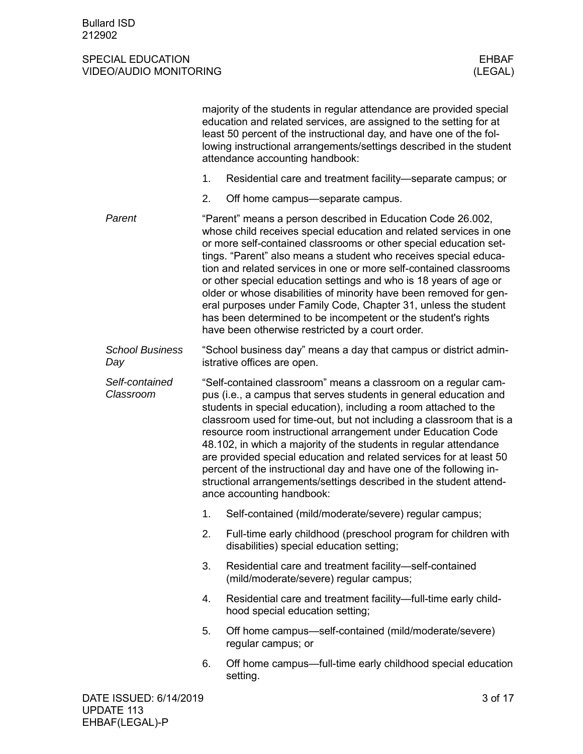|                               |    | majority of the students in regular attendance are provided special<br>education and related services, are assigned to the setting for at<br>least 50 percent of the instructional day, and have one of the fol-<br>lowing instructional arrangements/settings described in the student<br>attendance accounting handbook:                                                                                                                                                                                                                                                                                                                                                          |
|-------------------------------|----|-------------------------------------------------------------------------------------------------------------------------------------------------------------------------------------------------------------------------------------------------------------------------------------------------------------------------------------------------------------------------------------------------------------------------------------------------------------------------------------------------------------------------------------------------------------------------------------------------------------------------------------------------------------------------------------|
|                               | 1. | Residential care and treatment facility—separate campus; or                                                                                                                                                                                                                                                                                                                                                                                                                                                                                                                                                                                                                         |
|                               | 2. | Off home campus—separate campus.                                                                                                                                                                                                                                                                                                                                                                                                                                                                                                                                                                                                                                                    |
| Parent                        |    | "Parent" means a person described in Education Code 26.002,<br>whose child receives special education and related services in one<br>or more self-contained classrooms or other special education set-<br>tings. "Parent" also means a student who receives special educa-<br>tion and related services in one or more self-contained classrooms<br>or other special education settings and who is 18 years of age or<br>older or whose disabilities of minority have been removed for gen-<br>eral purposes under Family Code, Chapter 31, unless the student<br>has been determined to be incompetent or the student's rights<br>have been otherwise restricted by a court order. |
| <b>School Business</b><br>Day |    | "School business day" means a day that campus or district admin-<br>istrative offices are open.                                                                                                                                                                                                                                                                                                                                                                                                                                                                                                                                                                                     |
| Self-contained<br>Classroom   |    | "Self-contained classroom" means a classroom on a regular cam-<br>pus (i.e., a campus that serves students in general education and<br>students in special education), including a room attached to the<br>classroom used for time-out, but not including a classroom that is a<br>resource room instructional arrangement under Education Code<br>48.102, in which a majority of the students in regular attendance<br>are provided special education and related services for at least 50<br>percent of the instructional day and have one of the following in-<br>structional arrangements/settings described in the student attend-<br>ance accounting handbook:                |
|                               | 1. | Self-contained (mild/moderate/severe) regular campus;                                                                                                                                                                                                                                                                                                                                                                                                                                                                                                                                                                                                                               |
|                               | 2. | Full-time early childhood (preschool program for children with<br>disabilities) special education setting;                                                                                                                                                                                                                                                                                                                                                                                                                                                                                                                                                                          |
|                               | 3. | Residential care and treatment facility-self-contained<br>(mild/moderate/severe) regular campus;                                                                                                                                                                                                                                                                                                                                                                                                                                                                                                                                                                                    |
|                               | 4. | Residential care and treatment facility—full-time early child-<br>hood special education setting;                                                                                                                                                                                                                                                                                                                                                                                                                                                                                                                                                                                   |
|                               | 5. | Off home campus-self-contained (mild/moderate/severe)<br>regular campus; or                                                                                                                                                                                                                                                                                                                                                                                                                                                                                                                                                                                                         |
|                               | 6. | Off home campus—full-time early childhood special education<br>setting.                                                                                                                                                                                                                                                                                                                                                                                                                                                                                                                                                                                                             |
| DATE ISSUED: 6/14/2019        |    | 3 of 17                                                                                                                                                                                                                                                                                                                                                                                                                                                                                                                                                                                                                                                                             |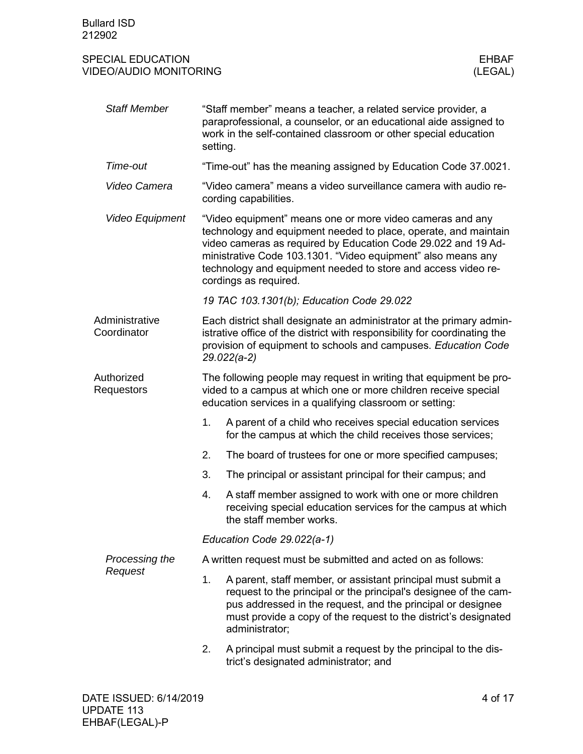<span id="page-3-1"></span><span id="page-3-0"></span>

| <b>Staff Member</b>             | setting.                                                                                                                                                                                          | "Staff member" means a teacher, a related service provider, a<br>paraprofessional, a counselor, or an educational aide assigned to<br>work in the self-contained classroom or other special education                                                                                                                                                   |  |
|---------------------------------|---------------------------------------------------------------------------------------------------------------------------------------------------------------------------------------------------|---------------------------------------------------------------------------------------------------------------------------------------------------------------------------------------------------------------------------------------------------------------------------------------------------------------------------------------------------------|--|
| Time-out                        | "Time-out" has the meaning assigned by Education Code 37.0021.                                                                                                                                    |                                                                                                                                                                                                                                                                                                                                                         |  |
| Video Camera                    | "Video camera" means a video surveillance camera with audio re-<br>cording capabilities.                                                                                                          |                                                                                                                                                                                                                                                                                                                                                         |  |
| Video Equipment                 |                                                                                                                                                                                                   | "Video equipment" means one or more video cameras and any<br>technology and equipment needed to place, operate, and maintain<br>video cameras as required by Education Code 29.022 and 19 Ad-<br>ministrative Code 103.1301. "Video equipment" also means any<br>technology and equipment needed to store and access video re-<br>cordings as required. |  |
|                                 |                                                                                                                                                                                                   | 19 TAC 103.1301(b); Education Code 29.022                                                                                                                                                                                                                                                                                                               |  |
| Administrative<br>Coordinator   |                                                                                                                                                                                                   | Each district shall designate an administrator at the primary admin-<br>istrative office of the district with responsibility for coordinating the<br>provision of equipment to schools and campuses. Education Code<br>$29.022(a-2)$                                                                                                                    |  |
| Authorized<br><b>Requestors</b> | The following people may request in writing that equipment be pro-<br>vided to a campus at which one or more children receive special<br>education services in a qualifying classroom or setting: |                                                                                                                                                                                                                                                                                                                                                         |  |
|                                 | 1.                                                                                                                                                                                                | A parent of a child who receives special education services<br>for the campus at which the child receives those services;                                                                                                                                                                                                                               |  |
|                                 | 2.                                                                                                                                                                                                | The board of trustees for one or more specified campuses;                                                                                                                                                                                                                                                                                               |  |
|                                 | 3.                                                                                                                                                                                                | The principal or assistant principal for their campus; and                                                                                                                                                                                                                                                                                              |  |
|                                 | 4.                                                                                                                                                                                                | A staff member assigned to work with one or more children<br>receiving special education services for the campus at which<br>the staff member works.                                                                                                                                                                                                    |  |
|                                 | Education Code 29.022(a-1)                                                                                                                                                                        |                                                                                                                                                                                                                                                                                                                                                         |  |
| Processing the                  |                                                                                                                                                                                                   | A written request must be submitted and acted on as follows:                                                                                                                                                                                                                                                                                            |  |
| Request                         | 1.                                                                                                                                                                                                | A parent, staff member, or assistant principal must submit a<br>request to the principal or the principal's designee of the cam-<br>pus addressed in the request, and the principal or designee<br>must provide a copy of the request to the district's designated<br>administrator;                                                                    |  |
|                                 | 2.                                                                                                                                                                                                | A principal must submit a request by the principal to the dis-<br>trict's designated administrator; and                                                                                                                                                                                                                                                 |  |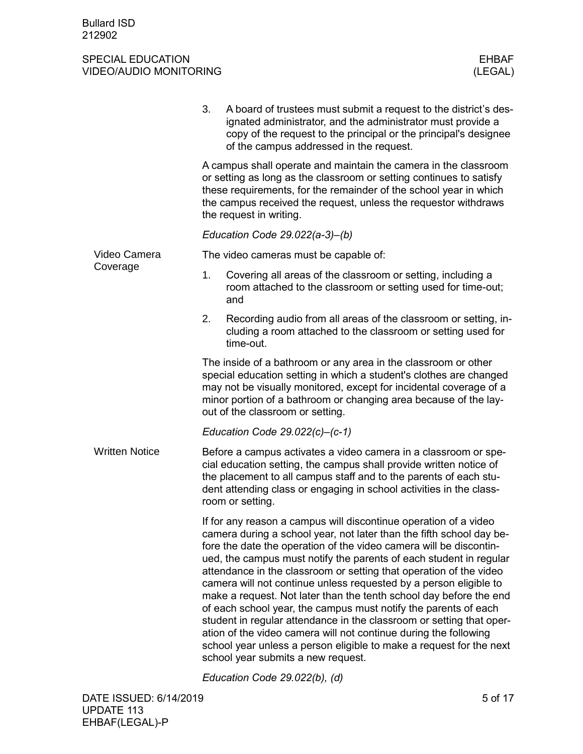<span id="page-4-0"></span>

|                       | 3.<br>A board of trustees must submit a request to the district's des-<br>ignated administrator, and the administrator must provide a<br>copy of the request to the principal or the principal's designee<br>of the campus addressed in the request.                                                                                                                                                                                                                                                                                                                                                                                                                                                                                                                                                                              |
|-----------------------|-----------------------------------------------------------------------------------------------------------------------------------------------------------------------------------------------------------------------------------------------------------------------------------------------------------------------------------------------------------------------------------------------------------------------------------------------------------------------------------------------------------------------------------------------------------------------------------------------------------------------------------------------------------------------------------------------------------------------------------------------------------------------------------------------------------------------------------|
|                       | A campus shall operate and maintain the camera in the classroom<br>or setting as long as the classroom or setting continues to satisfy<br>these requirements, for the remainder of the school year in which<br>the campus received the request, unless the requestor withdraws<br>the request in writing.                                                                                                                                                                                                                                                                                                                                                                                                                                                                                                                         |
|                       | Education Code 29.022(a-3)-(b)                                                                                                                                                                                                                                                                                                                                                                                                                                                                                                                                                                                                                                                                                                                                                                                                    |
| Video Camera          | The video cameras must be capable of:                                                                                                                                                                                                                                                                                                                                                                                                                                                                                                                                                                                                                                                                                                                                                                                             |
| Coverage              | 1.<br>Covering all areas of the classroom or setting, including a<br>room attached to the classroom or setting used for time-out;<br>and                                                                                                                                                                                                                                                                                                                                                                                                                                                                                                                                                                                                                                                                                          |
|                       | Recording audio from all areas of the classroom or setting, in-<br>2.<br>cluding a room attached to the classroom or setting used for<br>time-out.                                                                                                                                                                                                                                                                                                                                                                                                                                                                                                                                                                                                                                                                                |
|                       | The inside of a bathroom or any area in the classroom or other<br>special education setting in which a student's clothes are changed<br>may not be visually monitored, except for incidental coverage of a<br>minor portion of a bathroom or changing area because of the lay-<br>out of the classroom or setting.                                                                                                                                                                                                                                                                                                                                                                                                                                                                                                                |
|                       | Education Code $29.022(c) - (c-1)$                                                                                                                                                                                                                                                                                                                                                                                                                                                                                                                                                                                                                                                                                                                                                                                                |
| <b>Written Notice</b> | Before a campus activates a video camera in a classroom or spe-<br>cial education setting, the campus shall provide written notice of<br>the placement to all campus staff and to the parents of each stu-<br>dent attending class or engaging in school activities in the class-<br>room or setting.                                                                                                                                                                                                                                                                                                                                                                                                                                                                                                                             |
|                       | If for any reason a campus will discontinue operation of a video<br>camera during a school year, not later than the fifth school day be-<br>fore the date the operation of the video camera will be discontin-<br>ued, the campus must notify the parents of each student in regular<br>attendance in the classroom or setting that operation of the video<br>camera will not continue unless requested by a person eligible to<br>make a request. Not later than the tenth school day before the end<br>of each school year, the campus must notify the parents of each<br>student in regular attendance in the classroom or setting that oper-<br>ation of the video camera will not continue during the following<br>school year unless a person eligible to make a request for the next<br>school year submits a new request. |
|                       |                                                                                                                                                                                                                                                                                                                                                                                                                                                                                                                                                                                                                                                                                                                                                                                                                                   |

<span id="page-4-1"></span>*Education Code 29.022(b), (d)*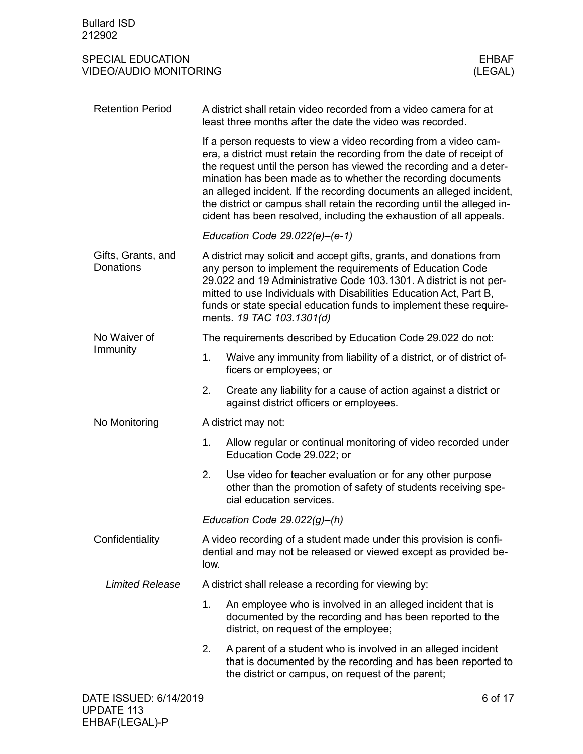<span id="page-5-4"></span><span id="page-5-3"></span><span id="page-5-2"></span><span id="page-5-1"></span><span id="page-5-0"></span>

| <b>Bullard ISD</b><br>212902                              |                                                                                                                                                                                                                                                                                                                                                                                                                                                                                                          |                                                                                                                                                                                                                                                                                                                                                                                  |  |  |  |
|-----------------------------------------------------------|----------------------------------------------------------------------------------------------------------------------------------------------------------------------------------------------------------------------------------------------------------------------------------------------------------------------------------------------------------------------------------------------------------------------------------------------------------------------------------------------------------|----------------------------------------------------------------------------------------------------------------------------------------------------------------------------------------------------------------------------------------------------------------------------------------------------------------------------------------------------------------------------------|--|--|--|
| <b>SPECIAL EDUCATION</b><br><b>VIDEO/AUDIO MONITORING</b> |                                                                                                                                                                                                                                                                                                                                                                                                                                                                                                          | <b>EHBAF</b><br>(LEGAL)                                                                                                                                                                                                                                                                                                                                                          |  |  |  |
| <b>Retention Period</b>                                   |                                                                                                                                                                                                                                                                                                                                                                                                                                                                                                          | A district shall retain video recorded from a video camera for at<br>least three months after the date the video was recorded.                                                                                                                                                                                                                                                   |  |  |  |
|                                                           | If a person requests to view a video recording from a video cam-<br>era, a district must retain the recording from the date of receipt of<br>the request until the person has viewed the recording and a deter-<br>mination has been made as to whether the recording documents<br>an alleged incident. If the recording documents an alleged incident,<br>the district or campus shall retain the recording until the alleged in-<br>cident has been resolved, including the exhaustion of all appeals. |                                                                                                                                                                                                                                                                                                                                                                                  |  |  |  |
|                                                           |                                                                                                                                                                                                                                                                                                                                                                                                                                                                                                          | Education Code $29.022(e)$ –(e-1)                                                                                                                                                                                                                                                                                                                                                |  |  |  |
| Gifts, Grants, and<br>Donations                           |                                                                                                                                                                                                                                                                                                                                                                                                                                                                                                          | A district may solicit and accept gifts, grants, and donations from<br>any person to implement the requirements of Education Code<br>29.022 and 19 Administrative Code 103.1301. A district is not per-<br>mitted to use Individuals with Disabilities Education Act, Part B,<br>funds or state special education funds to implement these require-<br>ments. 19 TAC 103.1301(d) |  |  |  |
| No Waiver of                                              |                                                                                                                                                                                                                                                                                                                                                                                                                                                                                                          | The requirements described by Education Code 29.022 do not:                                                                                                                                                                                                                                                                                                                      |  |  |  |
| Immunity                                                  | 1.                                                                                                                                                                                                                                                                                                                                                                                                                                                                                                       | Waive any immunity from liability of a district, or of district of-<br>ficers or employees; or                                                                                                                                                                                                                                                                                   |  |  |  |
|                                                           | 2.                                                                                                                                                                                                                                                                                                                                                                                                                                                                                                       | Create any liability for a cause of action against a district or<br>against district officers or employees.                                                                                                                                                                                                                                                                      |  |  |  |
| No Monitoring                                             |                                                                                                                                                                                                                                                                                                                                                                                                                                                                                                          | A district may not:                                                                                                                                                                                                                                                                                                                                                              |  |  |  |
|                                                           |                                                                                                                                                                                                                                                                                                                                                                                                                                                                                                          | 1. Allow regular or continual monitoring of video recorded under<br>Education Code 29.022; or                                                                                                                                                                                                                                                                                    |  |  |  |
|                                                           | 2.                                                                                                                                                                                                                                                                                                                                                                                                                                                                                                       | Use video for teacher evaluation or for any other purpose<br>other than the promotion of safety of students receiving spe-<br>cial education services.                                                                                                                                                                                                                           |  |  |  |
|                                                           |                                                                                                                                                                                                                                                                                                                                                                                                                                                                                                          | Education Code $29.022(g)$ –(h)                                                                                                                                                                                                                                                                                                                                                  |  |  |  |
| Confidentiality                                           | low.                                                                                                                                                                                                                                                                                                                                                                                                                                                                                                     | A video recording of a student made under this provision is confi-<br>dential and may not be released or viewed except as provided be-                                                                                                                                                                                                                                           |  |  |  |
| <b>Limited Release</b>                                    |                                                                                                                                                                                                                                                                                                                                                                                                                                                                                                          | A district shall release a recording for viewing by:                                                                                                                                                                                                                                                                                                                             |  |  |  |
|                                                           | 1.                                                                                                                                                                                                                                                                                                                                                                                                                                                                                                       | An employee who is involved in an alleged incident that is<br>documented by the recording and has been reported to the<br>district, on request of the employee;                                                                                                                                                                                                                  |  |  |  |
|                                                           | 2.                                                                                                                                                                                                                                                                                                                                                                                                                                                                                                       | A parent of a student who is involved in an alleged incident<br>that is documented by the recording and has been reported to<br>the district or campus, on request of the parent;                                                                                                                                                                                                |  |  |  |
| DATE ISSUED: 6/14/2019                                    |                                                                                                                                                                                                                                                                                                                                                                                                                                                                                                          | 6 of 17                                                                                                                                                                                                                                                                                                                                                                          |  |  |  |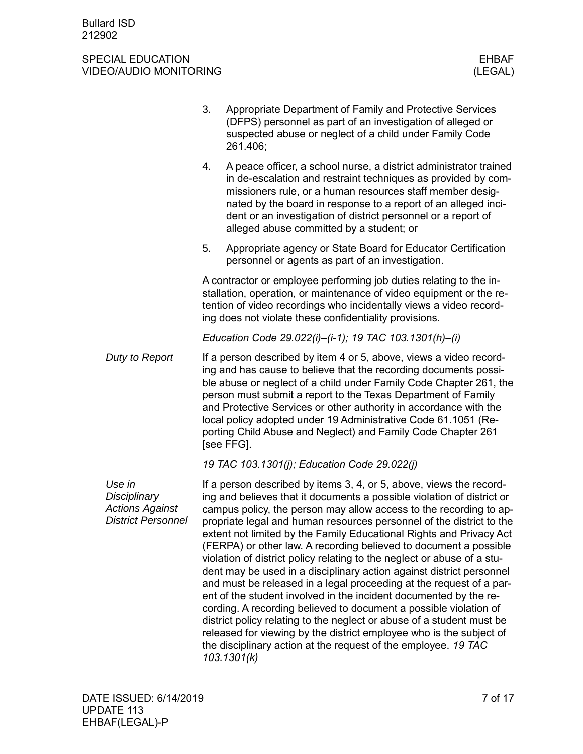|                                                                               | 3.                                                                                                                                                                                                                                                                        | Appropriate Department of Family and Protective Services<br>(DFPS) personnel as part of an investigation of alleged or<br>suspected abuse or neglect of a child under Family Code<br>261.406;                                                                                                                                                                                                                                                                                                                                                                                                                                                                                                                                                                                                                                                                                                                                                                                                                                                |  |  |
|-------------------------------------------------------------------------------|---------------------------------------------------------------------------------------------------------------------------------------------------------------------------------------------------------------------------------------------------------------------------|----------------------------------------------------------------------------------------------------------------------------------------------------------------------------------------------------------------------------------------------------------------------------------------------------------------------------------------------------------------------------------------------------------------------------------------------------------------------------------------------------------------------------------------------------------------------------------------------------------------------------------------------------------------------------------------------------------------------------------------------------------------------------------------------------------------------------------------------------------------------------------------------------------------------------------------------------------------------------------------------------------------------------------------------|--|--|
|                                                                               | 4.                                                                                                                                                                                                                                                                        | A peace officer, a school nurse, a district administrator trained<br>in de-escalation and restraint techniques as provided by com-<br>missioners rule, or a human resources staff member desig-<br>nated by the board in response to a report of an alleged inci-<br>dent or an investigation of district personnel or a report of<br>alleged abuse committed by a student; or                                                                                                                                                                                                                                                                                                                                                                                                                                                                                                                                                                                                                                                               |  |  |
|                                                                               | 5.                                                                                                                                                                                                                                                                        | Appropriate agency or State Board for Educator Certification<br>personnel or agents as part of an investigation.                                                                                                                                                                                                                                                                                                                                                                                                                                                                                                                                                                                                                                                                                                                                                                                                                                                                                                                             |  |  |
|                                                                               | A contractor or employee performing job duties relating to the in-<br>stallation, operation, or maintenance of video equipment or the re-<br>tention of video recordings who incidentally views a video record-<br>ing does not violate these confidentiality provisions. |                                                                                                                                                                                                                                                                                                                                                                                                                                                                                                                                                                                                                                                                                                                                                                                                                                                                                                                                                                                                                                              |  |  |
|                                                                               |                                                                                                                                                                                                                                                                           | Education Code 29.022(i)-(i-1); 19 TAC 103.1301(h)-(i)                                                                                                                                                                                                                                                                                                                                                                                                                                                                                                                                                                                                                                                                                                                                                                                                                                                                                                                                                                                       |  |  |
| Duty to Report                                                                |                                                                                                                                                                                                                                                                           | If a person described by item 4 or 5, above, views a video record-<br>ing and has cause to believe that the recording documents possi-<br>ble abuse or neglect of a child under Family Code Chapter 261, the<br>person must submit a report to the Texas Department of Family<br>and Protective Services or other authority in accordance with the<br>local policy adopted under 19 Administrative Code 61.1051 (Re-<br>porting Child Abuse and Neglect) and Family Code Chapter 261<br>[see FFG].                                                                                                                                                                                                                                                                                                                                                                                                                                                                                                                                           |  |  |
|                                                                               |                                                                                                                                                                                                                                                                           | 19 TAC 103.1301(j); Education Code 29.022(j)                                                                                                                                                                                                                                                                                                                                                                                                                                                                                                                                                                                                                                                                                                                                                                                                                                                                                                                                                                                                 |  |  |
| Use in<br>Disciplinary<br><b>Actions Against</b><br><b>District Personnel</b> |                                                                                                                                                                                                                                                                           | If a person described by items 3, 4, or 5, above, views the record-<br>ing and believes that it documents a possible violation of district or<br>campus policy, the person may allow access to the recording to ap-<br>propriate legal and human resources personnel of the district to the<br>extent not limited by the Family Educational Rights and Privacy Act<br>(FERPA) or other law. A recording believed to document a possible<br>violation of district policy relating to the neglect or abuse of a stu-<br>dent may be used in a disciplinary action against district personnel<br>and must be released in a legal proceeding at the request of a par-<br>ent of the student involved in the incident documented by the re-<br>cording. A recording believed to document a possible violation of<br>district policy relating to the neglect or abuse of a student must be<br>released for viewing by the district employee who is the subject of<br>the disciplinary action at the request of the employee. 19 TAC<br>103.1301(k) |  |  |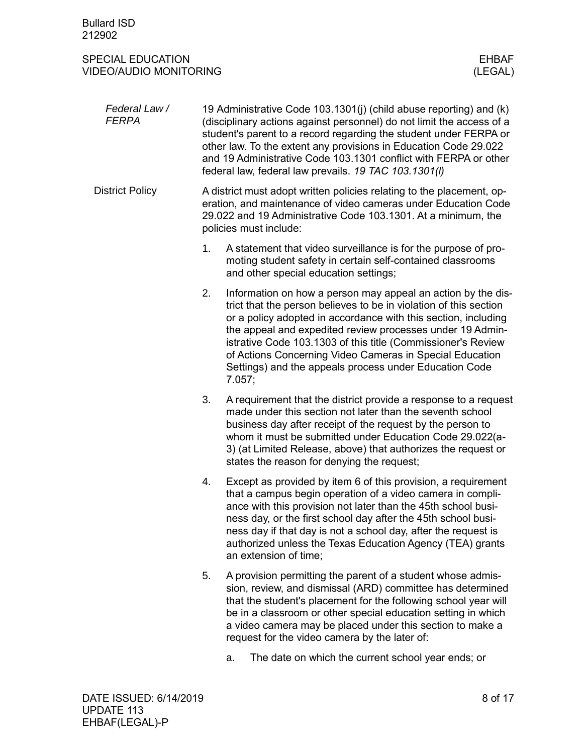<span id="page-7-0"></span>

| Federal Law /<br><b>FERPA</b> | 19 Administrative Code 103.1301(j) (child abuse reporting) and (k)<br>(disciplinary actions against personnel) do not limit the access of a<br>student's parent to a record regarding the student under FERPA or<br>other law. To the extent any provisions in Education Code 29.022<br>and 19 Administrative Code 103.1301 conflict with FERPA or other<br>federal law, federal law prevails. 19 TAC 103.1301(I)                                                      |  |  |
|-------------------------------|------------------------------------------------------------------------------------------------------------------------------------------------------------------------------------------------------------------------------------------------------------------------------------------------------------------------------------------------------------------------------------------------------------------------------------------------------------------------|--|--|
| <b>District Policy</b>        | A district must adopt written policies relating to the placement, op-<br>eration, and maintenance of video cameras under Education Code<br>29.022 and 19 Administrative Code 103.1301. At a minimum, the<br>policies must include:                                                                                                                                                                                                                                     |  |  |
|                               | A statement that video surveillance is for the purpose of pro-<br>1.<br>moting student safety in certain self-contained classrooms<br>and other special education settings;                                                                                                                                                                                                                                                                                            |  |  |
|                               | 2.<br>Information on how a person may appeal an action by the dis-<br>trict that the person believes to be in violation of this section<br>or a policy adopted in accordance with this section, including<br>the appeal and expedited review processes under 19 Admin-<br>istrative Code 103.1303 of this title (Commissioner's Review<br>of Actions Concerning Video Cameras in Special Education<br>Settings) and the appeals process under Education Code<br>7.057; |  |  |
|                               | 3.<br>A requirement that the district provide a response to a request<br>made under this section not later than the seventh school<br>business day after receipt of the request by the person to<br>whom it must be submitted under Education Code 29.022(a-<br>3) (at Limited Release, above) that authorizes the request or<br>states the reason for denying the request;                                                                                            |  |  |
|                               | 4.<br>Except as provided by item 6 of this provision, a requirement<br>that a campus begin operation of a video camera in compli-<br>ance with this provision not later than the 45th school busi-<br>ness day, or the first school day after the 45th school busi-<br>ness day if that day is not a school day, after the request is<br>authorized unless the Texas Education Agency (TEA) grants<br>an extension of time;                                            |  |  |
|                               | 5.<br>A provision permitting the parent of a student whose admis-<br>sion, review, and dismissal (ARD) committee has determined<br>that the student's placement for the following school year will<br>be in a classroom or other special education setting in which<br>a video camera may be placed under this section to make a<br>request for the video camera by the later of:                                                                                      |  |  |

a. The date on which the current school year ends; or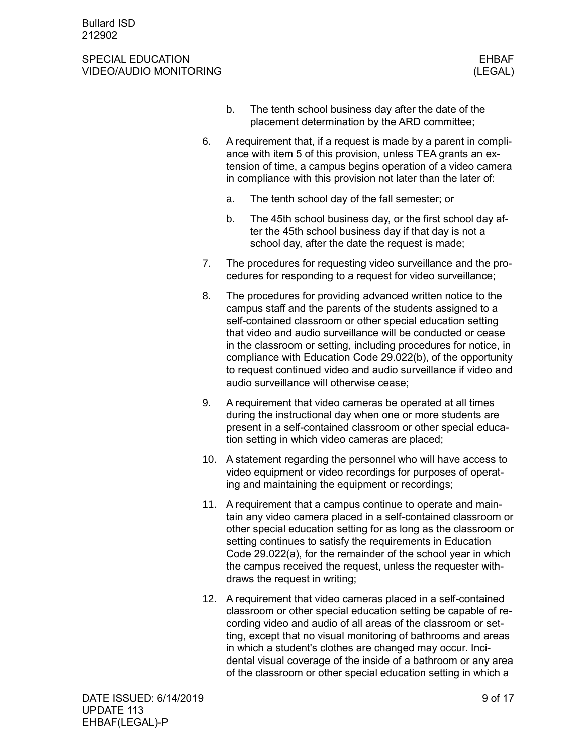### SPECIAL EDUCATION ENGINEERING SERVERS AND THE SERVER SERVER SERVERS AND THE SERVER SERVER SERVER SERVER SERVER VIDEO/AUDIO MONITORING (LEGAL)

- b. The tenth school business day after the date of the placement determination by the ARD committee;
- 6. A requirement that, if a request is made by a parent in compliance with item 5 of this provision, unless TEA grants an extension of time, a campus begins operation of a video camera in compliance with this provision not later than the later of:
	- a. The tenth school day of the fall semester; or
	- b. The 45th school business day, or the first school day after the 45th school business day if that day is not a school day, after the date the request is made;
- 7. The procedures for requesting video surveillance and the procedures for responding to a request for video surveillance;
- 8. The procedures for providing advanced written notice to the campus staff and the parents of the students assigned to a self-contained classroom or other special education setting that video and audio surveillance will be conducted or cease in the classroom or setting, including procedures for notice, in compliance with Education Code 29.022(b), of the opportunity to request continued video and audio surveillance if video and audio surveillance will otherwise cease;
- 9. A requirement that video cameras be operated at all times during the instructional day when one or more students are present in a self-contained classroom or other special education setting in which video cameras are placed;
- 10. A statement regarding the personnel who will have access to video equipment or video recordings for purposes of operating and maintaining the equipment or recordings;
- 11. A requirement that a campus continue to operate and maintain any video camera placed in a self-contained classroom or other special education setting for as long as the classroom or setting continues to satisfy the requirements in Education Code 29.022(a), for the remainder of the school year in which the campus received the request, unless the requester withdraws the request in writing;
- 12. A requirement that video cameras placed in a self-contained classroom or other special education setting be capable of recording video and audio of all areas of the classroom or setting, except that no visual monitoring of bathrooms and areas in which a student's clothes are changed may occur. Incidental visual coverage of the inside of a bathroom or any area of the classroom or other special education setting in which a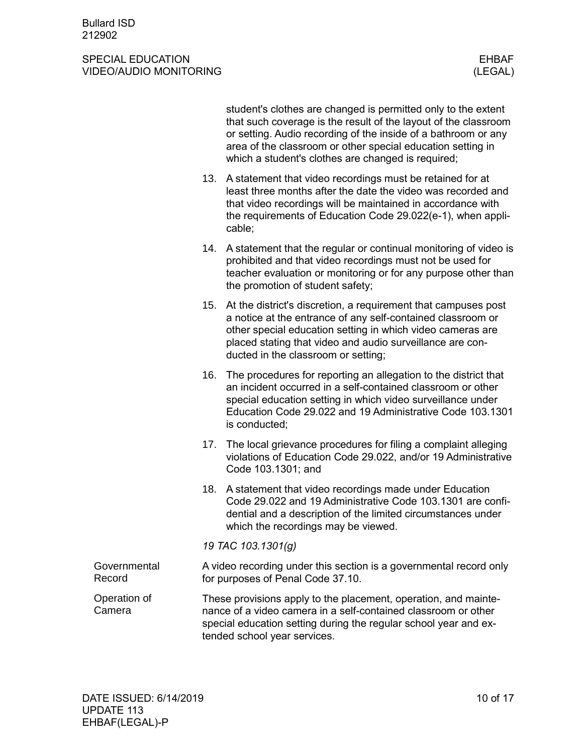<span id="page-9-1"></span><span id="page-9-0"></span>

|                        |     | student's clothes are changed is permitted only to the extent<br>that such coverage is the result of the layout of the classroom<br>or setting. Audio recording of the inside of a bathroom or any<br>area of the classroom or other special education setting in<br>which a student's clothes are changed is required; |
|------------------------|-----|-------------------------------------------------------------------------------------------------------------------------------------------------------------------------------------------------------------------------------------------------------------------------------------------------------------------------|
|                        |     | 13. A statement that video recordings must be retained for at<br>least three months after the date the video was recorded and<br>that video recordings will be maintained in accordance with<br>the requirements of Education Code 29.022(e-1), when appli-<br>cable;                                                   |
|                        | 14. | A statement that the regular or continual monitoring of video is<br>prohibited and that video recordings must not be used for<br>teacher evaluation or monitoring or for any purpose other than<br>the promotion of student safety;                                                                                     |
|                        | 15. | At the district's discretion, a requirement that campuses post<br>a notice at the entrance of any self-contained classroom or<br>other special education setting in which video cameras are<br>placed stating that video and audio surveillance are con-<br>ducted in the classroom or setting;                         |
|                        | 16. | The procedures for reporting an allegation to the district that<br>an incident occurred in a self-contained classroom or other<br>special education setting in which video surveillance under<br>Education Code 29.022 and 19 Administrative Code 103.1301<br>is conducted;                                             |
|                        |     | 17. The local grievance procedures for filing a complaint alleging<br>violations of Education Code 29.022, and/or 19 Administrative<br>Code 103.1301; and                                                                                                                                                               |
|                        |     | 18. A statement that video recordings made under Education<br>Code 29.022 and 19 Administrative Code 103.1301 are confi-<br>dential and a description of the limited circumstances under<br>which the recordings may be viewed.                                                                                         |
|                        |     | 19 TAC 103.1301(g)                                                                                                                                                                                                                                                                                                      |
| Governmental<br>Record |     | A video recording under this section is a governmental record only<br>for purposes of Penal Code 37.10.                                                                                                                                                                                                                 |
| Operation of<br>Camera |     | These provisions apply to the placement, operation, and mainte-<br>nance of a video camera in a self-contained classroom or other<br>special education setting during the regular school year and ex-<br>tended school year services.                                                                                   |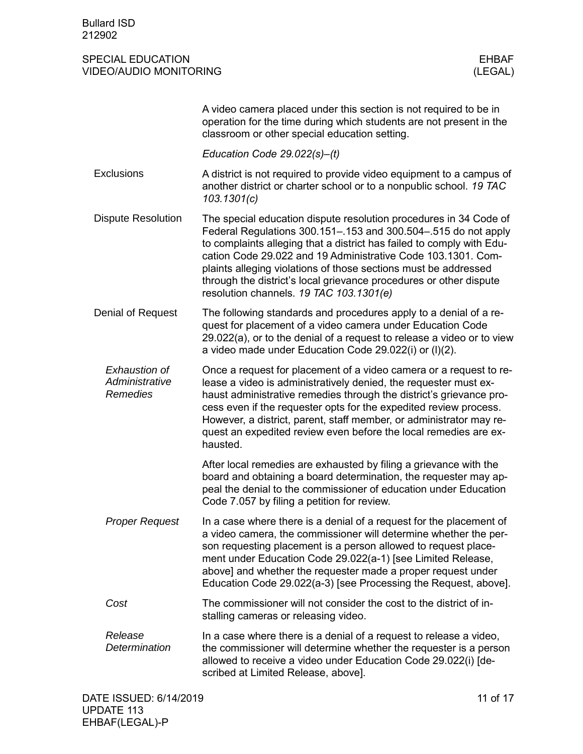<span id="page-10-2"></span><span id="page-10-1"></span><span id="page-10-0"></span>

|                                                    | A video camera placed under this section is not required to be in<br>operation for the time during which students are not present in the<br>classroom or other special education setting.                                                                                                                                                                                                                                                                        |
|----------------------------------------------------|------------------------------------------------------------------------------------------------------------------------------------------------------------------------------------------------------------------------------------------------------------------------------------------------------------------------------------------------------------------------------------------------------------------------------------------------------------------|
|                                                    | Education Code $29.022(s)$ –(t)                                                                                                                                                                                                                                                                                                                                                                                                                                  |
| <b>Exclusions</b>                                  | A district is not required to provide video equipment to a campus of<br>another district or charter school or to a nonpublic school. 19 TAC<br>103.1301(c)                                                                                                                                                                                                                                                                                                       |
| <b>Dispute Resolution</b>                          | The special education dispute resolution procedures in 34 Code of<br>Federal Regulations 300.151-.153 and 300.504-.515 do not apply<br>to complaints alleging that a district has failed to comply with Edu-<br>cation Code 29.022 and 19 Administrative Code 103.1301. Com-<br>plaints alleging violations of those sections must be addressed<br>through the district's local grievance procedures or other dispute<br>resolution channels. 19 TAC 103.1301(e) |
| Denial of Request                                  | The following standards and procedures apply to a denial of a re-<br>quest for placement of a video camera under Education Code<br>29.022(a), or to the denial of a request to release a video or to view<br>a video made under Education Code 29.022(i) or (I)(2).                                                                                                                                                                                              |
| <b>Exhaustion of</b><br>Administrative<br>Remedies | Once a request for placement of a video camera or a request to re-<br>lease a video is administratively denied, the requester must ex-<br>haust administrative remedies through the district's grievance pro-<br>cess even if the requester opts for the expedited review process.<br>However, a district, parent, staff member, or administrator may re-<br>quest an expedited review even before the local remedies are ex-<br>hausted.                        |
|                                                    | After local remedies are exhausted by filing a grievance with the<br>board and obtaining a board determination, the requester may ap-<br>peal the denial to the commissioner of education under Education<br>Code 7.057 by filing a petition for review.                                                                                                                                                                                                         |
| <b>Proper Request</b>                              | In a case where there is a denial of a request for the placement of<br>a video camera, the commissioner will determine whether the per-<br>son requesting placement is a person allowed to request place-<br>ment under Education Code 29.022(a-1) [see Limited Release,<br>above] and whether the requester made a proper request under<br>Education Code 29.022(a-3) [see Processing the Request, above].                                                      |
| Cost                                               | The commissioner will not consider the cost to the district of in-<br>stalling cameras or releasing video.                                                                                                                                                                                                                                                                                                                                                       |
| Release<br>Determination                           | In a case where there is a denial of a request to release a video,<br>the commissioner will determine whether the requester is a person<br>allowed to receive a video under Education Code 29.022(i) [de-<br>scribed at Limited Release, above].                                                                                                                                                                                                                 |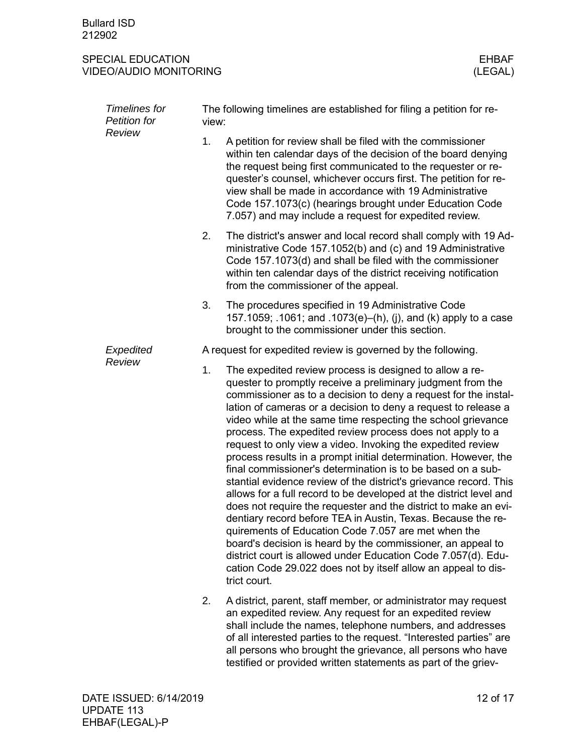| <b>Timelines for</b><br>Petition for<br>Review | The following timelines are established for filing a petition for re-<br>view: |                                                                                                                                                                                                                                                                                                                                                                                                                                                                                                                                                                                                                                                                                                                                                                                                                                                                                                                                                                                                                                                                                                                                                 |  |  |
|------------------------------------------------|--------------------------------------------------------------------------------|-------------------------------------------------------------------------------------------------------------------------------------------------------------------------------------------------------------------------------------------------------------------------------------------------------------------------------------------------------------------------------------------------------------------------------------------------------------------------------------------------------------------------------------------------------------------------------------------------------------------------------------------------------------------------------------------------------------------------------------------------------------------------------------------------------------------------------------------------------------------------------------------------------------------------------------------------------------------------------------------------------------------------------------------------------------------------------------------------------------------------------------------------|--|--|
|                                                | 1.                                                                             | A petition for review shall be filed with the commissioner<br>within ten calendar days of the decision of the board denying<br>the request being first communicated to the requester or re-<br>quester's counsel, whichever occurs first. The petition for re-<br>view shall be made in accordance with 19 Administrative<br>Code 157.1073(c) (hearings brought under Education Code<br>7.057) and may include a request for expedited review.                                                                                                                                                                                                                                                                                                                                                                                                                                                                                                                                                                                                                                                                                                  |  |  |
|                                                | 2.                                                                             | The district's answer and local record shall comply with 19 Ad-<br>ministrative Code 157.1052(b) and (c) and 19 Administrative<br>Code 157.1073(d) and shall be filed with the commissioner<br>within ten calendar days of the district receiving notification<br>from the commissioner of the appeal.                                                                                                                                                                                                                                                                                                                                                                                                                                                                                                                                                                                                                                                                                                                                                                                                                                          |  |  |
|                                                | 3.                                                                             | The procedures specified in 19 Administrative Code<br>157.1059; .1061; and .1073(e)–(h), (j), and (k) apply to a case<br>brought to the commissioner under this section.                                                                                                                                                                                                                                                                                                                                                                                                                                                                                                                                                                                                                                                                                                                                                                                                                                                                                                                                                                        |  |  |
| Expedited                                      |                                                                                | A request for expedited review is governed by the following.                                                                                                                                                                                                                                                                                                                                                                                                                                                                                                                                                                                                                                                                                                                                                                                                                                                                                                                                                                                                                                                                                    |  |  |
| Review                                         | 1.                                                                             | The expedited review process is designed to allow a re-<br>quester to promptly receive a preliminary judgment from the<br>commissioner as to a decision to deny a request for the instal-<br>lation of cameras or a decision to deny a request to release a<br>video while at the same time respecting the school grievance<br>process. The expedited review process does not apply to a<br>request to only view a video. Invoking the expedited review<br>process results in a prompt initial determination. However, the<br>final commissioner's determination is to be based on a sub-<br>stantial evidence review of the district's grievance record. This<br>allows for a full record to be developed at the district level and<br>does not require the requester and the district to make an evi-<br>dentiary record before TEA in Austin, Texas. Because the re-<br>quirements of Education Code 7.057 are met when the<br>board's decision is heard by the commissioner, an appeal to<br>district court is allowed under Education Code 7.057(d). Edu-<br>cation Code 29.022 does not by itself allow an appeal to dis-<br>trict court. |  |  |
|                                                | 2.                                                                             | A district, parent, staff member, or administrator may request<br>an expedited review. Any request for an expedited review<br>shall include the names, telephone numbers, and addresses<br>of all interested parties to the request. "Interested parties" are<br>all persons who brought the grievance, all persons who have<br>testified or provided written statements as part of the griev-                                                                                                                                                                                                                                                                                                                                                                                                                                                                                                                                                                                                                                                                                                                                                  |  |  |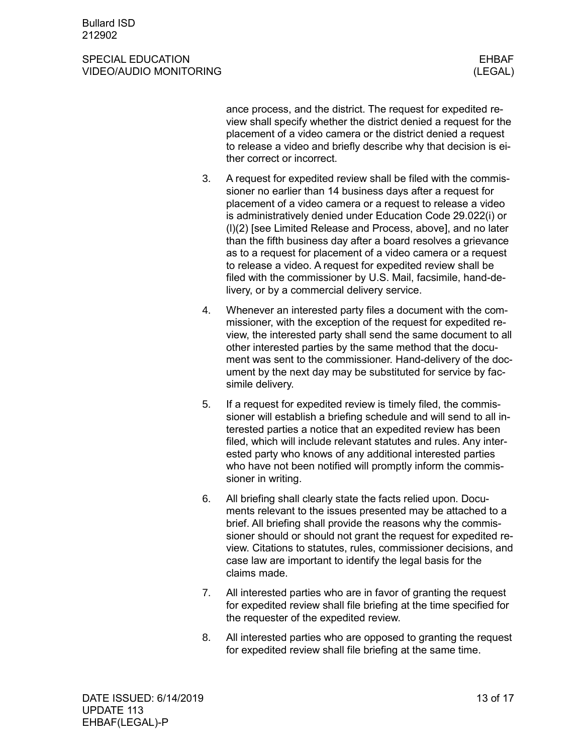### SPECIAL EDUCATION ENGINEERING SERVERS AND THE SERVER SERVER SERVERS AND THE SERVER SERVER SERVER SERVER SERVER VIDEO/AUDIO MONITORING (LEGAL)

ance process, and the district. The request for expedited review shall specify whether the district denied a request for the placement of a video camera or the district denied a request to release a video and briefly describe why that decision is either correct or incorrect.

- 3. A request for expedited review shall be filed with the commissioner no earlier than 14 business days after a request for placement of a video camera or a request to release a video is administratively denied under Education Code 29.022(i) or (l)(2) [see Limited Release and Process, above], and no later than the fifth business day after a board resolves a grievance as to a request for placement of a video camera or a request to release a video. A request for expedited review shall be filed with the commissioner by U.S. Mail, facsimile, hand-delivery, or by a commercial delivery service.
- 4. Whenever an interested party files a document with the commissioner, with the exception of the request for expedited review, the interested party shall send the same document to all other interested parties by the same method that the document was sent to the commissioner. Hand-delivery of the document by the next day may be substituted for service by facsimile delivery.
- 5. If a request for expedited review is timely filed, the commissioner will establish a briefing schedule and will send to all interested parties a notice that an expedited review has been filed, which will include relevant statutes and rules. Any interested party who knows of any additional interested parties who have not been notified will promptly inform the commissioner in writing.
- 6. All briefing shall clearly state the facts relied upon. Documents relevant to the issues presented may be attached to a brief. All briefing shall provide the reasons why the commissioner should or should not grant the request for expedited review. Citations to statutes, rules, commissioner decisions, and case law are important to identify the legal basis for the claims made.
- 7. All interested parties who are in favor of granting the request for expedited review shall file briefing at the time specified for the requester of the expedited review.
- 8. All interested parties who are opposed to granting the request for expedited review shall file briefing at the same time.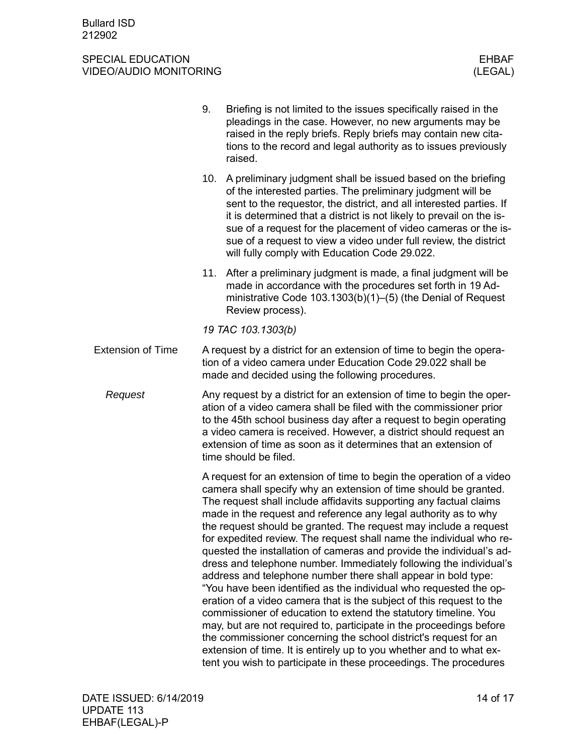<span id="page-13-0"></span>

|                          | 9.                                                                                                                                                                                                                                                                                                                                                                                 | Briefing is not limited to the issues specifically raised in the<br>pleadings in the case. However, no new arguments may be<br>raised in the reply briefs. Reply briefs may contain new cita-<br>tions to the record and legal authority as to issues previously<br>raised.                                                                                                                                                                                                                                                                                                                                                                                                                                                                                                                                                                                                                                                                                                                                                                                                                                                                        |  |
|--------------------------|------------------------------------------------------------------------------------------------------------------------------------------------------------------------------------------------------------------------------------------------------------------------------------------------------------------------------------------------------------------------------------|----------------------------------------------------------------------------------------------------------------------------------------------------------------------------------------------------------------------------------------------------------------------------------------------------------------------------------------------------------------------------------------------------------------------------------------------------------------------------------------------------------------------------------------------------------------------------------------------------------------------------------------------------------------------------------------------------------------------------------------------------------------------------------------------------------------------------------------------------------------------------------------------------------------------------------------------------------------------------------------------------------------------------------------------------------------------------------------------------------------------------------------------------|--|
|                          |                                                                                                                                                                                                                                                                                                                                                                                    | 10. A preliminary judgment shall be issued based on the briefing<br>of the interested parties. The preliminary judgment will be<br>sent to the requestor, the district, and all interested parties. If<br>it is determined that a district is not likely to prevail on the is-<br>sue of a request for the placement of video cameras or the is-<br>sue of a request to view a video under full review, the district<br>will fully comply with Education Code 29.022.                                                                                                                                                                                                                                                                                                                                                                                                                                                                                                                                                                                                                                                                              |  |
|                          |                                                                                                                                                                                                                                                                                                                                                                                    | 11. After a preliminary judgment is made, a final judgment will be<br>made in accordance with the procedures set forth in 19 Ad-<br>ministrative Code $103.1303(b)(1)$ – $(5)$ (the Denial of Request<br>Review process).                                                                                                                                                                                                                                                                                                                                                                                                                                                                                                                                                                                                                                                                                                                                                                                                                                                                                                                          |  |
|                          |                                                                                                                                                                                                                                                                                                                                                                                    | 19 TAC 103.1303(b)                                                                                                                                                                                                                                                                                                                                                                                                                                                                                                                                                                                                                                                                                                                                                                                                                                                                                                                                                                                                                                                                                                                                 |  |
| <b>Extension of Time</b> |                                                                                                                                                                                                                                                                                                                                                                                    | A request by a district for an extension of time to begin the opera-<br>tion of a video camera under Education Code 29,022 shall be<br>made and decided using the following procedures.                                                                                                                                                                                                                                                                                                                                                                                                                                                                                                                                                                                                                                                                                                                                                                                                                                                                                                                                                            |  |
| Request                  | Any request by a district for an extension of time to begin the oper-<br>ation of a video camera shall be filed with the commissioner prior<br>to the 45th school business day after a request to begin operating<br>a video camera is received. However, a district should request an<br>extension of time as soon as it determines that an extension of<br>time should be filed. |                                                                                                                                                                                                                                                                                                                                                                                                                                                                                                                                                                                                                                                                                                                                                                                                                                                                                                                                                                                                                                                                                                                                                    |  |
|                          |                                                                                                                                                                                                                                                                                                                                                                                    | A request for an extension of time to begin the operation of a video<br>camera shall specify why an extension of time should be granted.<br>The request shall include affidavits supporting any factual claims<br>made in the request and reference any legal authority as to why<br>the request should be granted. The request may include a request<br>for expedited review. The request shall name the individual who re-<br>quested the installation of cameras and provide the individual's ad-<br>dress and telephone number. Immediately following the individual's<br>address and telephone number there shall appear in bold type:<br>"You have been identified as the individual who requested the op-<br>eration of a video camera that is the subject of this request to the<br>commissioner of education to extend the statutory timeline. You<br>may, but are not required to, participate in the proceedings before<br>the commissioner concerning the school district's request for an<br>extension of time. It is entirely up to you whether and to what ex-<br>tent you wish to participate in these proceedings. The procedures |  |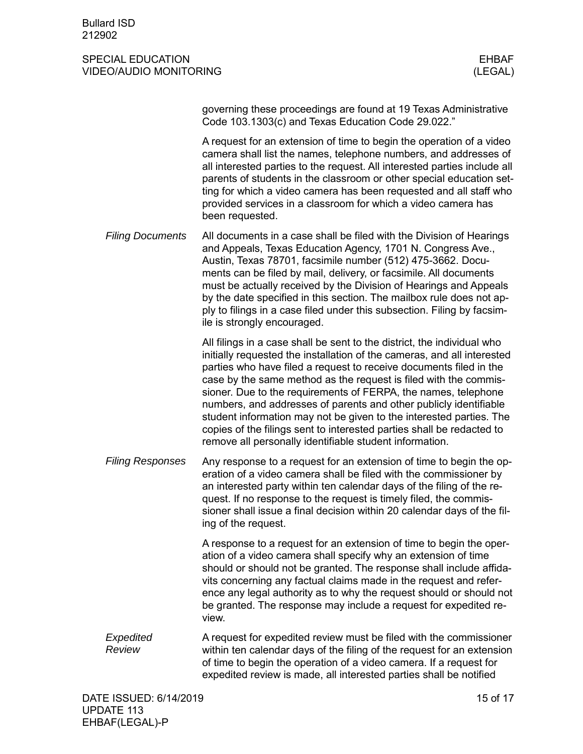### SPECIAL EDUCATION EXPLORED THE SERVICE OF SPECIAL EDUCATION CONTROL CONTROL ESTIMATE OF SERVICE OF STREET AND STREET AND LODGED AT A STREET AND LODGED AT A STREET AND LODGED AT A STREET AND LODGED AT A STREET AND LODGED AT VIDEO/AUDIO MONITORING (LEGAL)

| governing these proceedings are found at 19 Texas Administrative |
|------------------------------------------------------------------|
| Code 103.1303(c) and Texas Education Code 29.022."               |

A request for an extension of time to begin the operation of a video camera shall list the names, telephone numbers, and addresses of all interested parties to the request. All interested parties include all parents of students in the classroom or other special education setting for which a video camera has been requested and all staff who provided services in a classroom for which a video camera has been requested.

All documents in a case shall be filed with the Division of Hearings and Appeals, Texas Education Agency, 1701 N. Congress Ave., Austin, Texas 78701, facsimile number (512) 475-3662. Documents can be filed by mail, delivery, or facsimile. All documents must be actually received by the Division of Hearings and Appeals by the date specified in this section. The mailbox rule does not apply to filings in a case filed under this subsection. Filing by facsimile is strongly encouraged. *Filing Documents*

> All filings in a case shall be sent to the district, the individual who initially requested the installation of the cameras, and all interested parties who have filed a request to receive documents filed in the case by the same method as the request is filed with the commissioner. Due to the requirements of FERPA, the names, telephone numbers, and addresses of parents and other publicly identifiable student information may not be given to the interested parties. The copies of the filings sent to interested parties shall be redacted to remove all personally identifiable student information.

Any response to a request for an extension of time to begin the operation of a video camera shall be filed with the commissioner by an interested party within ten calendar days of the filing of the request. If no response to the request is timely filed, the commissioner shall issue a final decision within 20 calendar days of the filing of the request. *Filing Responses*

> A response to a request for an extension of time to begin the operation of a video camera shall specify why an extension of time should or should not be granted. The response shall include affidavits concerning any factual claims made in the request and reference any legal authority as to why the request should or should not be granted. The response may include a request for expedited review.

A request for expedited review must be filed with the commissioner within ten calendar days of the filing of the request for an extension of time to begin the operation of a video camera. If a request for expedited review is made, all interested parties shall be notified *Expedited Review*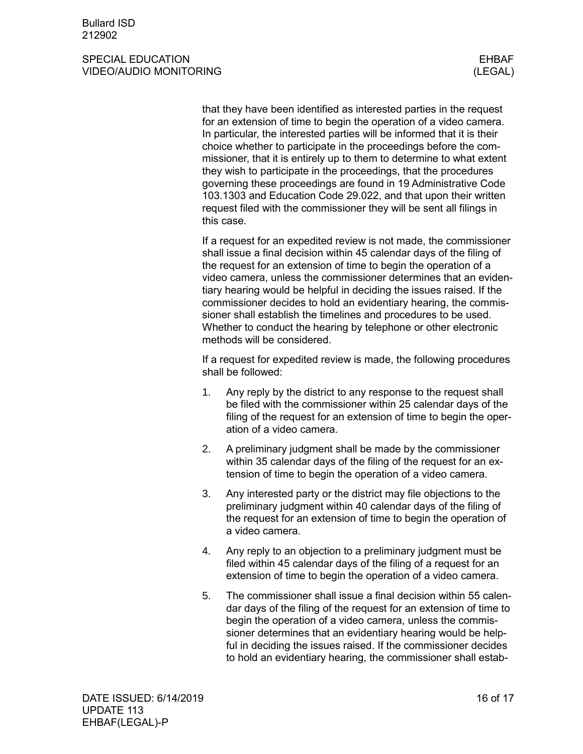### SPECIAL EDUCATION ENGINEERING SERVERS AND THE SERVER SERVER SERVERS AND THE SERVER SERVER SERVER SERVER SERVER VIDEO/AUDIO MONITORING (LEGAL)

that they have been identified as interested parties in the request for an extension of time to begin the operation of a video camera. In particular, the interested parties will be informed that it is their choice whether to participate in the proceedings before the commissioner, that it is entirely up to them to determine to what extent they wish to participate in the proceedings, that the procedures governing these proceedings are found in 19 Administrative Code 103.1303 and Education Code 29.022, and that upon their written request filed with the commissioner they will be sent all filings in this case.

If a request for an expedited review is not made, the commissioner shall issue a final decision within 45 calendar days of the filing of the request for an extension of time to begin the operation of a video camera, unless the commissioner determines that an evidentiary hearing would be helpful in deciding the issues raised. If the commissioner decides to hold an evidentiary hearing, the commissioner shall establish the timelines and procedures to be used. Whether to conduct the hearing by telephone or other electronic methods will be considered.

If a request for expedited review is made, the following procedures shall be followed:

- 1. Any reply by the district to any response to the request shall be filed with the commissioner within 25 calendar days of the filing of the request for an extension of time to begin the operation of a video camera.
- 2. A preliminary judgment shall be made by the commissioner within 35 calendar days of the filing of the request for an extension of time to begin the operation of a video camera.
- 3. Any interested party or the district may file objections to the preliminary judgment within 40 calendar days of the filing of the request for an extension of time to begin the operation of a video camera.
- 4. Any reply to an objection to a preliminary judgment must be filed within 45 calendar days of the filing of a request for an extension of time to begin the operation of a video camera.
- 5. The commissioner shall issue a final decision within 55 calendar days of the filing of the request for an extension of time to begin the operation of a video camera, unless the commissioner determines that an evidentiary hearing would be helpful in deciding the issues raised. If the commissioner decides to hold an evidentiary hearing, the commissioner shall estab-